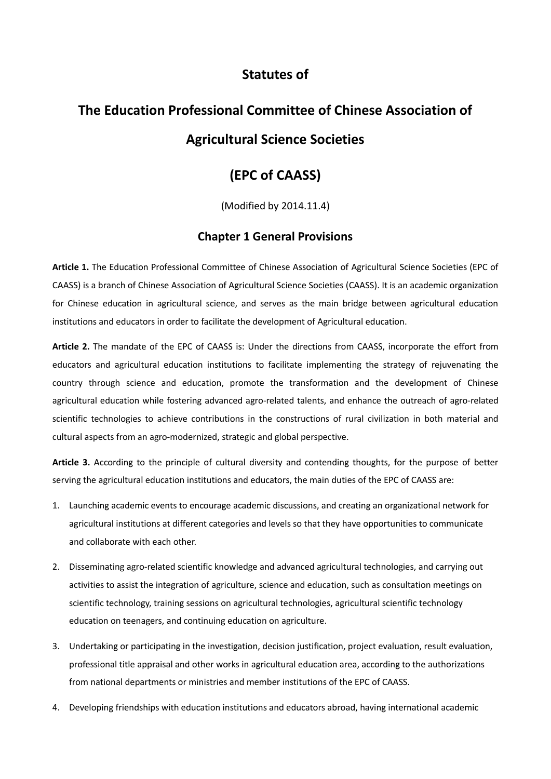## **Statutes of**

# **The Education Professional Committee of Chinese Association of Agricultural Science Societies**

## **(EPC of CAASS)**

(Modified by 2014.11.4)

### **Chapter 1 General Provisions**

**Article 1.** The Education Professional Committee of Chinese Association of Agricultural Science Societies (EPC of CAASS) is a branch of Chinese Association of Agricultural Science Societies (CAASS). It is an academic organization for Chinese education in agricultural science, and serves as the main bridge between agricultural education institutions and educators in order to facilitate the development of Agricultural education.

**Article 2.** The mandate of the EPC of CAASS is: Under the directions from CAASS, incorporate the effort from educators and agricultural education institutions to facilitate implementing the strategy of rejuvenating the country through science and education, promote the transformation and the development of Chinese agricultural education while fostering advanced agro-related talents, and enhance the outreach of agro-related scientific technologies to achieve contributions in the constructions of rural civilization in both material and cultural aspects from an agro-modernized, strategic and global perspective.

**Article 3.** According to the principle of cultural diversity and contending thoughts, for the purpose of better serving the agricultural education institutions and educators, the main duties of the EPC of CAASS are:

- 1. Launching academic events to encourage academic discussions, and creating an organizational network for agricultural institutions at different categories and levels so that they have opportunities to communicate and collaborate with each other.
- 2. Disseminating agro-related scientific knowledge and advanced agricultural technologies, and carrying out activities to assist the integration of agriculture, science and education, such as consultation meetings on scientific technology, training sessions on agricultural technologies, agricultural scientific technology education on teenagers, and continuing education on agriculture.
- 3. Undertaking or participating in the investigation, decision justification, project evaluation, result evaluation, professional title appraisal and other works in agricultural education area, according to the authorizations from national departments or ministries and member institutions of the EPC of CAASS.
- 4. Developing friendships with education institutions and educators abroad, having international academic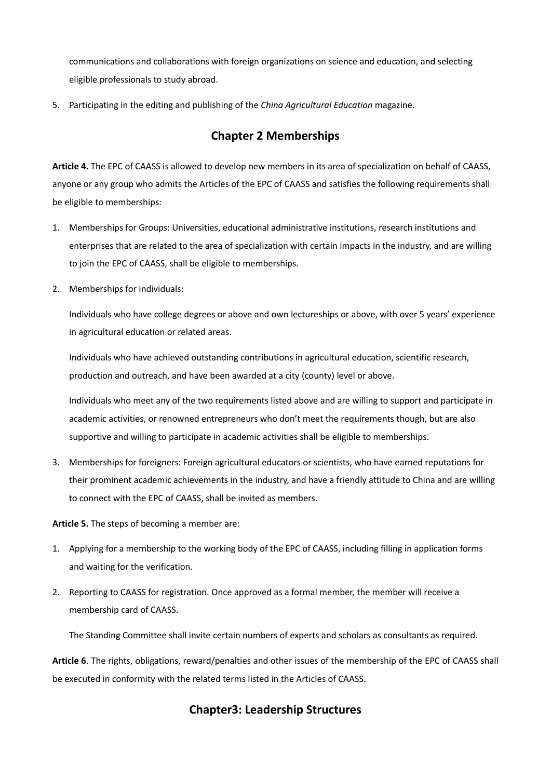communications and collaborations with foreign organizations on science and education, and selecting eligible professionals to study abroad.

5. Participating in the editing and publishing of the *China Agricultural Education* magazine.

### **Chapter 2 Memberships**

**Article 4.** The EPC of CAASS is allowed to develop new members in its area of specialization on behalf of CAASS, anyone or any group who admits the Articles of the EPC of CAASS and satisfies the following requirements shall be eligible to memberships:

- 1. Memberships for Groups: Universities, educational administrative institutions, research institutions and enterprises that are related to the area of specialization with certain impacts in the industry, and are willing to join the EPC of CAASS, shall be eligible to memberships.
- 2. Memberships for individuals:

Individuals who have college degrees or above and own lectureships or above, with over 5 years' experience in agricultural education or related areas.

Individuals who have achieved outstanding contributions in agricultural education, scientific research, production and outreach, and have been awarded at a city (county) level or above.

Individuals who meet any of the two requirements listed above and are willing to support and participate in academic activities, or renowned entrepreneurs who don't meet the requirements though, but are also supportive and willing to participate in academic activities shall be eligible to memberships.

3. Memberships for foreigners: Foreign agricultural educators or scientists, who have earned reputations for their prominent academic achievements in the industry, and have a friendly attitude to China and are willing to connect with the EPC of CAASS, shall be invited as members.

**Article 5.** The steps of becoming a member are:

- 1. Applying for a membership to the working body of the EPC of CAASS, including filling in application forms and waiting for the verification.
- 2. Reporting to CAASS for registration. Once approved as a formal member, the member will receive a membership card of CAASS.

The Standing Committee shall invite certain numbers of experts and scholars as consultants as required.

**Article 6**. The rights, obligations, reward/penalties and other issues of the membership of the EPC of CAASS shall be executed in conformity with the related terms listed in the Articles of CAASS.

## **Chapter3: Leadership Structures**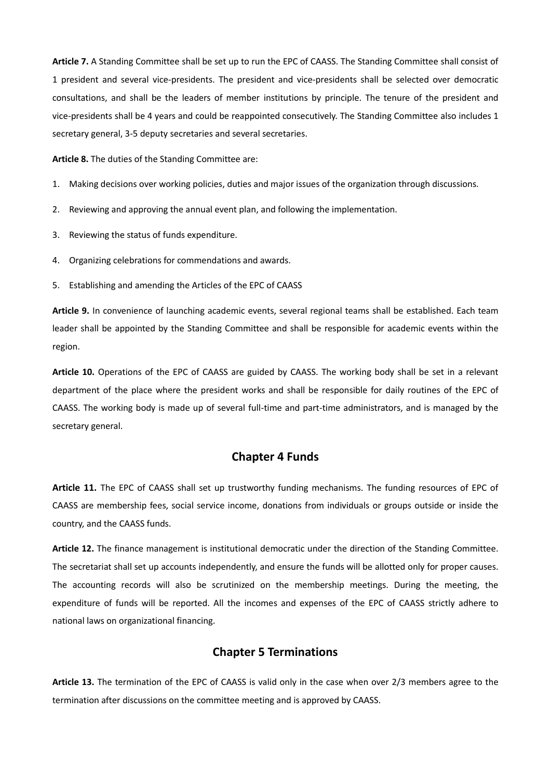**Article 7.** A Standing Committee shall be set up to run the EPC of CAASS. The Standing Committee shall consist of 1 president and several vice-presidents. The president and vice-presidents shall be selected over democratic consultations, and shall be the leaders of member institutions by principle. The tenure of the president and vice-presidents shall be 4 years and could be reappointed consecutively. The Standing Committee also includes 1 secretary general, 3-5 deputy secretaries and several secretaries.

**Article 8.** The duties of the Standing Committee are:

- 1. Making decisions over working policies, duties and major issues of the organization through discussions.
- 2. Reviewing and approving the annual event plan, and following the implementation.
- 3. Reviewing the status of funds expenditure.
- 4. Organizing celebrations for commendations and awards.
- 5. Establishing and amending the Articles of the EPC of CAASS

**Article 9.** In convenience of launching academic events, several regional teams shall be established. Each team leader shall be appointed by the Standing Committee and shall be responsible for academic events within the region.

**Article 10.** Operations of the EPC of CAASS are guided by CAASS. The working body shall be set in a relevant department of the place where the president works and shall be responsible for daily routines of the EPC of CAASS. The working body is made up of several full-time and part-time administrators, and is managed by the secretary general.

### **Chapter 4 Funds**

**Article 11.** The EPC of CAASS shall set up trustworthy funding mechanisms. The funding resources of EPC of CAASS are membership fees, social service income, donations from individuals or groups outside or inside the country, and the CAASS funds.

**Article 12.** The finance management is institutional democratic under the direction of the Standing Committee. The secretariat shall set up accounts independently, and ensure the funds will be allotted only for proper causes. The accounting records will also be scrutinized on the membership meetings. During the meeting, the expenditure of funds will be reported. All the incomes and expenses of the EPC of CAASS strictly adhere to national laws on organizational financing.

### **Chapter 5 Terminations**

**Article 13.** The termination of the EPC of CAASS is valid only in the case when over 2/3 members agree to the termination after discussions on the committee meeting and is approved by CAASS.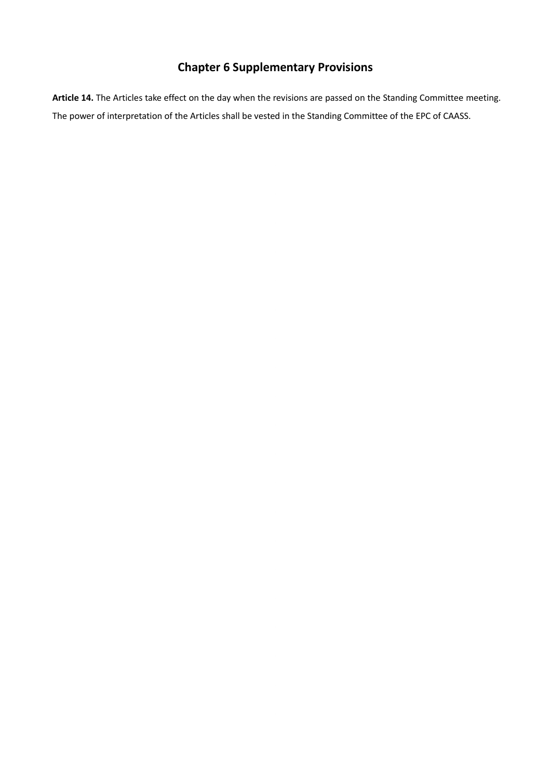## **Chapter 6 Supplementary Provisions**

**Article 14.** The Articles take effect on the day when the revisions are passed on the Standing Committee meeting. The power of interpretation of the Articles shall be vested in the Standing Committee of the EPC of CAASS.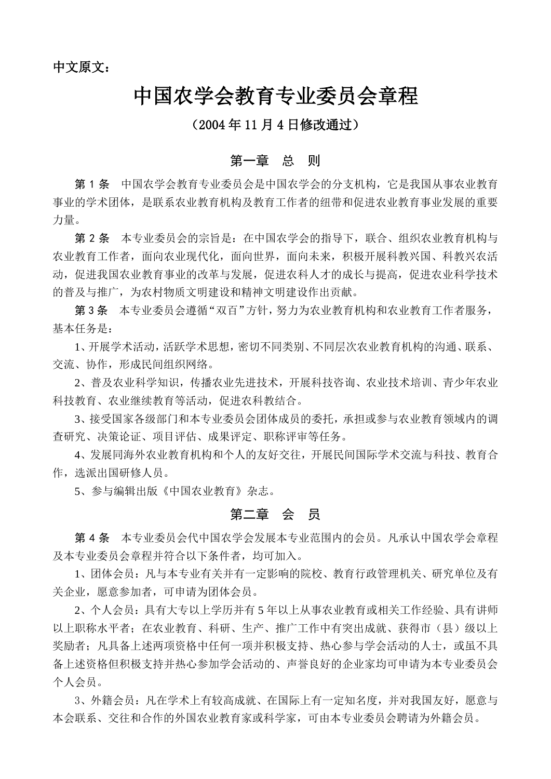中文原文:

## 中国农学会教育专业委员会章程

## (2004 年 11 月 4 日修改通过)

### 第一章 总 则

第 1 条 中国农学会教育专业委员会是中国农学会的分支机构,它是我国从事农业教育 事业的学术团体,是联系农业教育机构及教育工作者的纽带和促进农业教育事业发展的重要 力量。

第 2 条 本专业委员会的宗旨是:在中国农学会的指导下,联合、组织农业教育机构与 农业教育工作者,面向农业现代化,面向世界,面向未来,积极开展科教兴国、科教兴农活 动,促进我国农业教育事业的改革与发展,促进农科人才的成长与提高,促进农业科学技术 的普及与推广,为农村物质文明建设和精神文明建设作出贡献。

第 3 条 本专业委员会遵循"双百"方针,努力为农业教育机构和农业教育工作者服务, 基本任务是:

1、开展学术活动,活跃学术思想,密切不同类别、不同层次农业教育机构的沟通、联系、 交流、协作,形成民间组织网络。

2、普及农业科学知识,传播农业先进技术,开展科技咨询、农业技术培训、青少年农业 科技教育、农业继续教育等活动,促进农科教结合。

3、接受国家各级部门和本专业委员会团体成员的委托,承担或参与农业教育领域内的调 查研究、决策论证、项目评估、成果评定、职称评审等任务。

4、发展同海外农业教育机构和个人的友好交往,开展民间国际学术交流与科技、教育合 作,选派出国研修人员。

5、参与编辑出版《中国农业教育》杂志。

### 第二章 会 员

第 4 条 本专业委员会代中国农学会发展本专业范围内的会员。凡承认中国农学会章程 及本专业委员会章程并符合以下条件者,均可加入。

1、团体会员:凡与本专业有关并有一定影响的院校、教育行政管理机关、研究单位及有 关企业,愿意参加者,可申请为团体会员。

2、个人会员:具有大专以上学历并有 5 年以上从事农业教育或相关工作经验、具有讲师 以上职称水平者;在农业教育、科研、生产、推广工作中有突出成就、获得市(县)级以上 奖励者: 凡具备上述两项资格中任何一项并积极支持、热心参与学会活动的人士, 或虽不具 备上述资格但积极支持并热心参加学会活动的、声誉良好的企业家均可申请为本专业委员会 个人会员。

3、外籍会员:凡在学术上有较高成就、在国际上有一定知名度,并对我国友好,愿意与 本会联系、交往和合作的外国农业教育家或科学家,可由本专业委员会聘请为外籍会员。